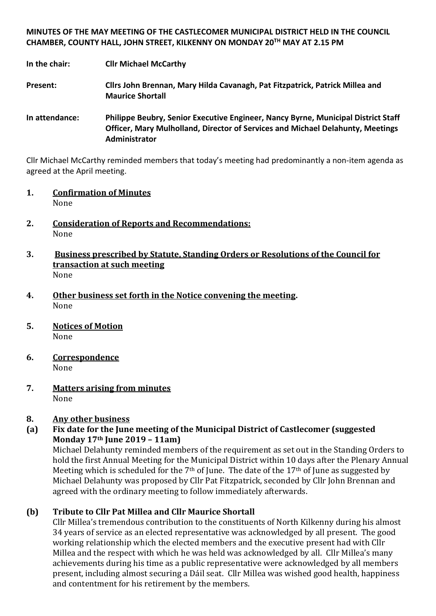**MINUTES OF THE MAY MEETING OF THE CASTLECOMER MUNICIPAL DISTRICT HELD IN THE COUNCIL CHAMBER, COUNTY HALL, JOHN STREET, KILKENNY ON MONDAY 20TH MAY AT 2.15 PM**

**In the chair: Cllr Michael McCarthy**

**Present: Cllrs John Brennan, Mary Hilda Cavanagh, Pat Fitzpatrick, Patrick Millea and Maurice Shortall**

**In attendance: Philippe Beubry, Senior Executive Engineer, Nancy Byrne, Municipal District Staff Officer, Mary Mulholland, Director of Services and Michael Delahunty, Meetings Administrator**

Cllr Michael McCarthy reminded members that today's meeting had predominantly a non-item agenda as agreed at the April meeting.

- **1. Confirmation of Minutes** None
- **2. Consideration of Reports and Recommendations:** None
- **3. Business prescribed by Statute, Standing Orders or Resolutions of the Council for transaction at such meeting** None
- **4. Other business set forth in the Notice convening the meeting.** None
- **5. Notices of Motion** None
- **6. Correspondence** None
- **7. Matters arising from minutes** None

## **8. Any other business**

## **(a) Fix date for the June meeting of the Municipal District of Castlecomer (suggested Monday 17th June 2019 – 11am)**

Michael Delahunty reminded members of the requirement as set out in the Standing Orders to hold the first Annual Meeting for the Municipal District within 10 days after the Plenary Annual Meeting which is scheduled for the  $7<sup>th</sup>$  of June. The date of the  $17<sup>th</sup>$  of June as suggested by Michael Delahunty was proposed by Cllr Pat Fitzpatrick, seconded by Cllr John Brennan and agreed with the ordinary meeting to follow immediately afterwards.

## **(b) Tribute to Cllr Pat Millea and Cllr Maurice Shortall**

Cllr Millea's tremendous contribution to the constituents of North Kilkenny during his almost 34 years of service as an elected representative was acknowledged by all present. The good working relationship which the elected members and the executive present had with Cllr Millea and the respect with which he was held was acknowledged by all. Cllr Millea's many achievements during his time as a public representative were acknowledged by all members present, including almost securing a Dáil seat. Cllr Millea was wished good health, happiness and contentment for his retirement by the members.